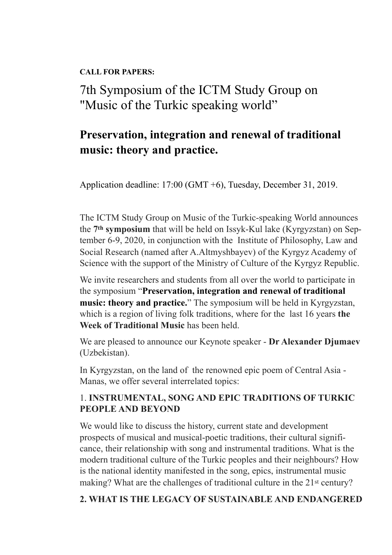**CALL FOR PAPERS:** 

 7th Symposium of the ICTM Study Group on "Music of the Turkic speaking world"

## **Preservation, integration and renewal of traditional music: theory and practice.**

Application deadline: 17:00 (GMT +6), Tuesday, December 31, 2019.

The ICTM Study Group on Music of the Turkic-speaking World announces the **7th symposium** that will be held on Issyk-Kul lake (Kyrgyzstan) on September 6-9, 2020, in conjunction with the Institute of Philosophy, Law and Social Research (named after A.Altmyshbayev) of the Kyrgyz Academy of Science with the support of the Ministry of Culture of the Kyrgyz Republic.

We invite researchers and students from all over the world to participate in the symposium "**Preservation, integration and renewal of traditional music: theory and practice.**" The symposium will be held in Kyrgyzstan, which is a region of living folk traditions, where for the last 16 years **the Week of Traditional Music** has been held.

We are pleased to announce our Keynote speaker - **Dr Alexander Djumaev** (Uzbekistan).

In Kyrgyzstan, on the land of the renowned epic poem of Central Asia - Manas, we offer several interrelated topics:

## 1. **INSTRUMENTAL, SONG AND EPIC TRADITIONS OF TURKIC PEOPLE AND BEYOND**

We would like to discuss the history, current state and development prospects of musical and musical-poetic traditions, their cultural significance, their relationship with song and instrumental traditions. What is the modern traditional culture of the Turkic peoples and their neighbours? How is the national identity manifested in the song, epics, instrumental music making? What are the challenges of traditional culture in the 21<sup>st</sup> century?

## **2. WHAT IS THE LEGACY OF SUSTAINABLE AND ENDANGERED**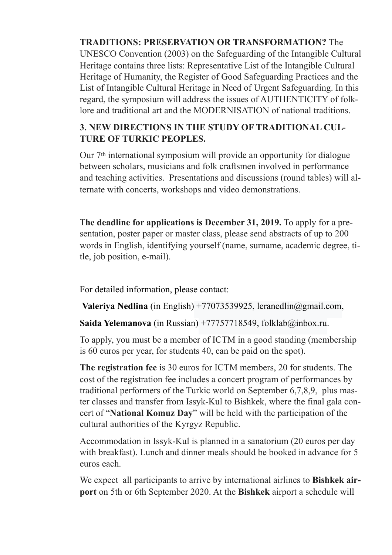**TRADITIONS: PRESERVATION OR TRANSFORMATION?** The UNESCO Convention (2003) on the Safeguarding of the Intangible Cultural Heritage contains three lists: Representative List of the Intangible Cultural Heritage of Humanity, the Register of Good Safeguarding Practices and the List of Intangible Cultural Heritage in Need of Urgent Safeguarding. In this regard, the symposium will address the issues of AUTHENTICITY of folklore and traditional art and the MODERNISATION of national traditions.

## **3. NEW DIRECTIONS IN THE STUDY OF TRADITIONAL CUL-TURE OF TURKIC PEOPLES.**

Our 7th international symposium will provide an opportunity for dialogue between scholars, musicians and folk craftsmen involved in performance and teaching activities. Presentations and discussions (round tables) will alternate with concerts, workshops and video demonstrations.

T**he deadline for applications is December 31, 2019.** To apply for a presentation, poster paper or master class, please send abstracts of up to 200 words in English, identifying yourself (name, surname, academic degree, title, job position, e-mail).

For detailed information, please contact:

**Valeriya Nedlina** (in English) +77073539925, leranedlin@gmail.com,

**Saida Yelemanova** (in Russian) +77757718549, folklab@inbox.ru.

To apply, you must be a member of ICTM in a good standing (membership is 60 euros per year, for students 40, can be paid on the spot).

**The registration fee** is 30 euros for ICTM members, 20 for students. The cost of the registration fee includes a concert program of performances by traditional performers of the Turkic world on September 6,7,8,9, plus master classes and transfer from Issyk-Kul to Bishkek, where the final gala concert of "**National Komuz Day**" will be held with the participation of the cultural authorities of the Kyrgyz Republic.

Accommodation in Issyk-Kul is planned in a sanatorium (20 euros per day with breakfast). Lunch and dinner meals should be booked in advance for 5 euros each.

We expect all participants to arrive by international airlines to **Bishkek airport** on 5th or 6th September 2020. At the **Bishkek** airport a schedule will